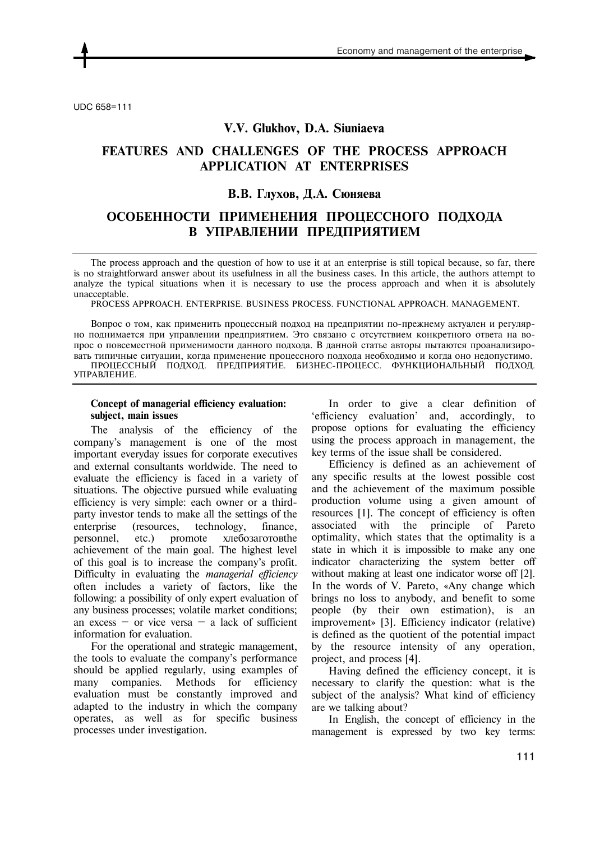

UDC 658=111

## **V.V. Glukhov, D.A. Siuniaeva**

# **FEATURES AND CHALLENGES OF THE PROCESS APPROACH APPLICATION AT ENTERPRISES**

# **В.В. Глухов, Д.А. Сюняева**

# **ОСОБЕННОСТИ ПРИМЕНЕНИЯ ПРОЦЕССНОГО ПОДХОДА В УПРАВЛЕНИИ ПРЕДПРИЯТИЕМ**

The process approach and the question of how to use it at an enterprise is still topical because, so far, there is no straightforward answer about its usefulness in all the business cases. In this article, the authors attempt to analyze the typical situations when it is necessary to use the process approach and when it is absolutely unacceptable.

PROCESS APPROACH. ENTERPRISE. BUSINESS PROCESS. FUNCTIONAL APPROACH. MANAGEMENT.

Вопрос о том, как применить процессный подход на предприятии по-прежнему актуален и регулярно поднимается при управлении предприятием. Это связано с отсутствием конкретного ответа на вопрос о повсеместной применимости данного подхода. В данной статье авторы пытаются проанализировать типичные ситуации, когда применение процессного подхода необходимо и когда оно недопустимо. ПРОЦЕССНЫЙ ПОДХОД. ПРЕДПРИЯТИЕ. БИЗНЕС-ПРОЦЕСС. ФУНКЦИОНАЛЬНЫЙ ПОДХОД. УПРАВЛЕНИЕ.

### **Concept of managerial efficiency evaluation: subject, main issues**

The analysis of the efficiency of the company's management is one of the most important everyday issues for corporate executives and external consultants worldwide. The need to evaluate the efficiency is faced in a variety of situations. The objective pursued while evaluating efficiency is very simple: each owner or a thirdparty investor tends to make all the settings of the enterprise (resources, technology, finance, personnel, etc.) promote хлебозаготовthe achievement of the main goal. The highest level of this goal is to increase the company's profit. Difficulty in evaluating the *managerial efficiency*  often includes a variety of factors, like the following: a possibility of only expert evaluation of any business processes; volatile market conditions; an excess  $-$  or vice versa  $-$  a lack of sufficient information for evaluation.

For the operational and strategic management, the tools to evaluate the company's performance should be applied regularly, using examples of many companies. Methods for efficiency evaluation must be constantly improved and adapted to the industry in which the company operates, as well as for specific business processes under investigation.

In order to give a clear definition of 'efficiency evaluation' and, accordingly, to propose options for evaluating the efficiency using the process approach in management, the key terms of the issue shall be considered.

Efficiency is defined as an achievement of any specific results at the lowest possible cost and the achievement of the maximum possible production volume using a given amount of resources [1]. The concept of efficiency is often associated with the principle of Pareto optimality, which states that the optimality is a state in which it is impossible to make any one indicator characterizing the system better off without making at least one indicator worse off [2]. In the words of V. Pareto, «Any change which brings no loss to anybody, and benefit to some people (by their own estimation), is an improvement» [3]. Efficiency indicator (relative) is defined as the quotient of the potential impact by the resource intensity of any operation, project, and process [4].

Having defined the efficiency concept, it is necessary to clarify the question: what is the subject of the analysis? What kind of efficiency are we talking about?

In English, the concept of efficiency in the management is expressed by two key terms: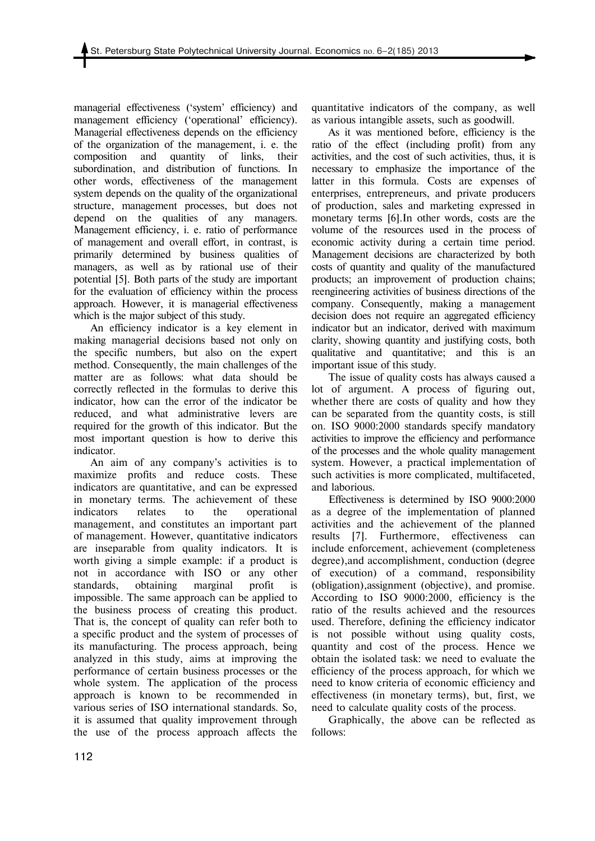managerial effectiveness ('system' efficiency) and management efficiency ('operational' efficiency). Managerial effectiveness depends on the efficiency of the organization of the management, i. e. the composition and quantity of links, their subordination, and distribution of functions. In other words, effectiveness of the management system depends on the quality of the organizational structure, management processes, but does not depend on the qualities of any managers. Management efficiency, i. e. ratio of performance of management and overall effort, in contrast, is primarily determined by business qualities of managers, as well as by rational use of their potential [5]. Both parts of the study are important for the evaluation of efficiency within the process approach. However, it is managerial effectiveness which is the major subject of this study.

An efficiency indicator is a key element in making managerial decisions based not only on the specific numbers, but also on the expert method. Consequently, the main challenges of the matter are as follows: what data should be correctly reflected in the formulas to derive this indicator, how can the error of the indicator be reduced, and what administrative levers are required for the growth of this indicator. But the most important question is how to derive this indicator.

An aim of any company's activities is to maximize profits and reduce costs. These indicators are quantitative, and can be expressed in monetary terms. The achievement of these indicators relates to the operational management, and constitutes an important part of management. However, quantitative indicators are inseparable from quality indicators. It is worth giving a simple example: if a product is not in accordance with ISO or any other standards, obtaining marginal profit is impossible. The same approach can be applied to the business process of creating this product. That is, the concept of quality can refer both to a specific product and the system of processes of its manufacturing. The process approach, being analyzed in this study, aims at improving the performance of certain business processes or the whole system. The application of the process approach is known to be recommended in various series of ISO international standards. So, it is assumed that quality improvement through the use of the process approach affects the

quantitative indicators of the company, as well as various intangible assets, such as goodwill.

As it was mentioned before, efficiency is the ratio of the effect (including profit) from any activities, and the cost of such activities, thus, it is necessary to emphasize the importance of the latter in this formula. Costs are expenses of enterprises, entrepreneurs, and private producers of production, sales and marketing expressed in monetary terms [6].In other words, costs are the volume of the resources used in the process of economic activity during a certain time period. Management decisions are characterized by both costs of quantity and quality of the manufactured products; an improvement of production chains; reengineering activities of business directions of the company. Consequently, making a management decision does not require an aggregated efficiency indicator but an indicator, derived with maximum clarity, showing quantity and justifying costs, both qualitative and quantitative; and this is an important issue of this study.

The issue of quality costs has always caused a lot of argument. A process of figuring out, whether there are costs of quality and how they can be separated from the quantity costs, is still on. ISO 9000:2000 standards specify mandatory activities to improve the efficiency and performance of the processes and the whole quality management system. However, a practical implementation of such activities is more complicated, multifaceted, and laborious.

Effectiveness is determined by ISO 9000:2000 as a degree of the implementation of planned activities and the achievement of the planned results [7]. Furthermore, effectiveness can include enforcement, achievement (completeness degree),and accomplishment, conduction (degree of execution) of a command, responsibility (obligation),assignment (objective), and promise. According to ISO 9000:2000, efficiency is the ratio of the results achieved and the resources used. Therefore, defining the efficiency indicator is not possible without using quality costs, quantity and cost of the process. Hence we obtain the isolated task: we need to evaluate the efficiency of the process approach, for which we need to know criteria of economic efficiency and effectiveness (in monetary terms), but, first, we need to calculate quality costs of the process.

Graphically, the above can be reflected as follows: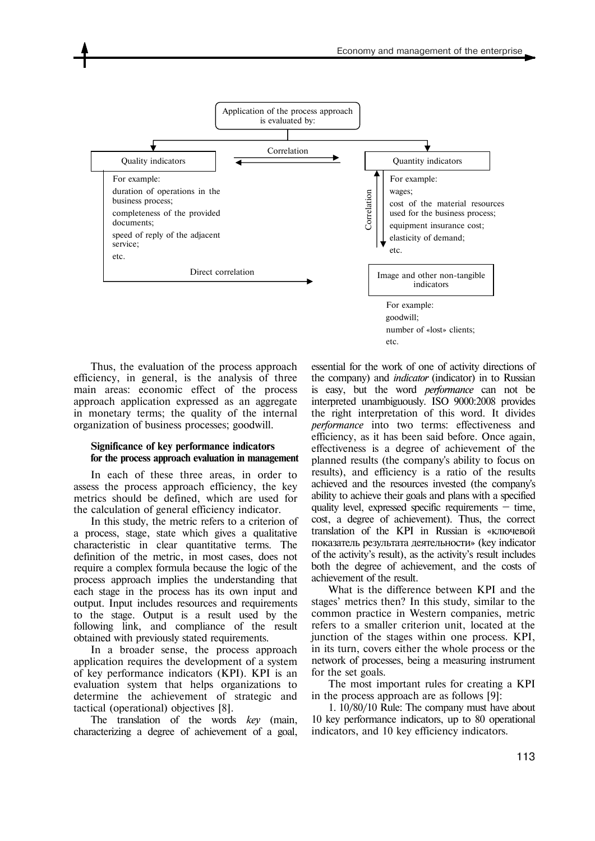

Thus, the evaluation of the process approach efficiency, in general, is the analysis of three main areas: economic effect of the process approach application expressed as an aggregate in monetary terms; the quality of the internal organization of business processes; goodwill.

### **Significance of key performance indicators for the process approach evaluation in management**

In each of these three areas, in order to assess the process approach efficiency, the key metrics should be defined, which are used for the calculation of general efficiency indicator.

In this study, the metric refers to a criterion of a process, stage, state which gives a qualitative characteristic in clear quantitative terms. The definition of the metric, in most cases, does not require a complex formula because the logic of the process approach implies the understanding that each stage in the process has its own input and output. Input includes resources and requirements to the stage. Output is a result used by the following link, and compliance of the result obtained with previously stated requirements.

In a broader sense, the process approach application requires the development of a system of key performance indicators (KPI). KPI is an evaluation system that helps organizations to determine the achievement of strategic and tactical (operational) objectives [8].

The translation of the words *key* (main, characterizing a degree of achievement of a goal, essential for the work of one of activity directions of the company) and *indicator* (indicator) in to Russian is easy, but the word *performance* can not be interpreted unambiguously. ISO 9000:2008 provides the right interpretation of this word. It divides *performance* into two terms: effectiveness and efficiency, as it has been said before. Once again, effectiveness is a degree of achievement of the planned results (the company's ability to focus on results), and efficiency is a ratio of the results achieved and the resources invested (the company's ability to achieve their goals and plans with a specified quality level, expressed specific requirements — time, cost, a degree of achievement). Thus, the correct translation of the KPI in Russian is «ключевой показатель результата деятельности» (key indicator of the activity's result), as the activity's result includes both the degree of achievement, and the costs of achievement of the result.

What is the difference between KPI and the stages' metrics then? In this study, similar to the common practice in Western companies, metric refers to a smaller criterion unit, located at the junction of the stages within one process. KPI, in its turn, covers either the whole process or the network of processes, being a measuring instrument for the set goals.

The most important rules for creating a KPI in the process approach are as follows [9]:

1. 10/80/10 Rule: The company must have about 10 key performance indicators, up to 80 operational indicators, and 10 key efficiency indicators.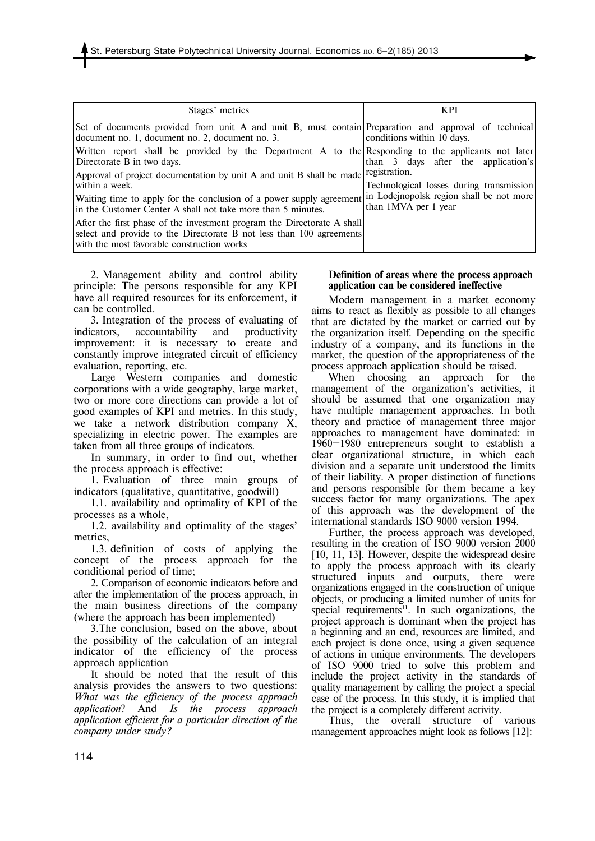| Stages' metrics                                                                                                                                                                               | <b>KPI</b>                                                       |
|-----------------------------------------------------------------------------------------------------------------------------------------------------------------------------------------------|------------------------------------------------------------------|
| Set of documents provided from unit A and unit B, must contain Preparation and approval of technical<br>document no. 1, document no. 2, document no. 3.                                       | conditions within 10 days.                                       |
| Written report shall be provided by the Department A to the Responding to the applicants not later<br>Directorate B in two days.                                                              | than 3 days after the application's                              |
| Approval of project documentation by unit A and unit B shall be made registration.<br>within a week.                                                                                          | Technological losses during transmission                         |
| Waiting time to apply for the conclusion of a power supply agreement<br>in the Customer Center A shall not take more than 5 minutes.                                                          | in Lodejnopolsk region shall be not more<br>than 1MVA per 1 year |
| After the first phase of the investment program the Directorate A shall<br>select and provide to the Directorate B not less than 100 agreements<br>with the most favorable construction works |                                                                  |

2. Management ability and control ability principle: The persons responsible for any KPI have all required resources for its enforcement, it can be controlled.

3. Integration of the process of evaluating of indicators, accountability and productivity improvement: it is necessary to create and constantly improve integrated circuit of efficiency evaluation, reporting, etc.

Large Western companies and domestic corporations with a wide geography, large market, two or more core directions can provide a lot of good examples of KPI and metrics. In this study, we take a network distribution company X, specializing in electric power. The examples are taken from all three groups of indicators.

In summary, in order to find out, whether the process approach is effective:

1. Evaluation of three main groups of indicators (qualitative, quantitative, goodwill)

1.1. availability and optimality of KPI of the processes as a whole,

1.2. availability and optimality of the stages' metrics,

1.3. definition of costs of applying the concept of the process approach for the conditional period of time;

2. Comparison of economic indicators before and after the implementation of the process approach, in the main business directions of the company (where the approach has been implemented)

3.The conclusion, based on the above, about the possibility of the calculation of an integral indicator of the efficiency of the process approach application

It should be noted that the result of this analysis provides the answers to two questions: *What was the efficiency of the process approach application*? And *Is the process approach application efficient for a particular direction of the company under study?*

#### **Definition of areas where the process approach application can be considered ineffective**

Modern management in a market economy aims to react as flexibly as possible to all changes that are dictated by the market or carried out by the organization itself. Depending on the specific industry of a company, and its functions in the market, the question of the appropriateness of the process approach application should be raised.

When choosing an approach for the management of the organization's activities, it should be assumed that one organization may have multiple management approaches. In both theory and practice of management three major approaches to management have dominated: in 1960—1980 entrepreneurs sought to establish a clear organizational structure, in which each division and a separate unit understood the limits of their liability. A proper distinction of functions and persons responsible for them became a key success factor for many organizations. The apex of this approach was the development of the international standards ISO 9000 version 1994.

Further, the process approach was developed, resulting in the creation of ISO 9000 version 2000 [10, 11, 13]. However, despite the widespread desire to apply the process approach with its clearly structured inputs and outputs, there were organizations engaged in the construction of unique objects, or producing a limited number of units for special requirements<sup>11</sup>. In such organizations, the project approach is dominant when the project has a beginning and an end, resources are limited, and each project is done once, using a given sequence of actions in unique environments. The developers of ISO 9000 tried to solve this problem and include the project activity in the standards of quality management by calling the project a special case of the process. In this study, it is implied that the project is a completely different activity.

Thus, the overall structure of various management approaches might look as follows [12]: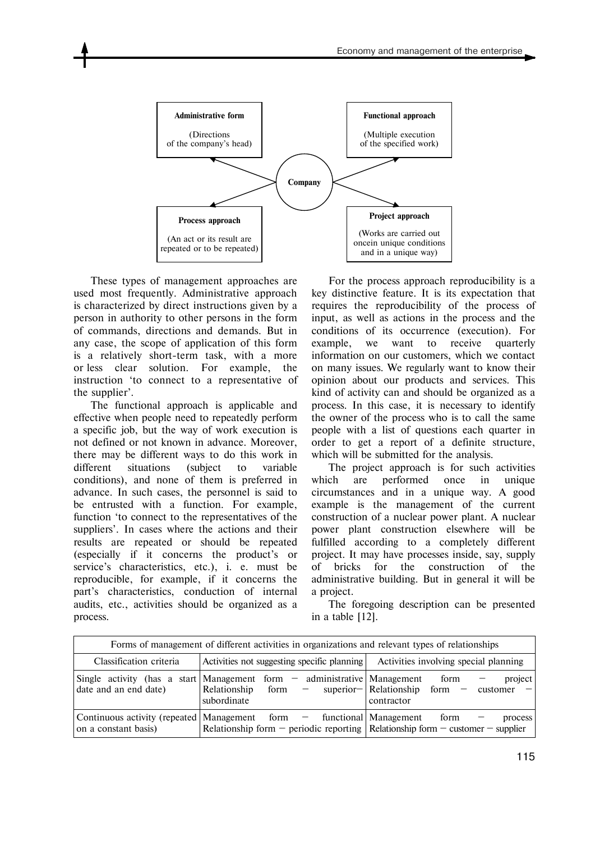

These types of management approaches are used most frequently. Administrative approach is characterized by direct instructions given by a person in authority to other persons in the form of commands, directions and demands. But in any case, the scope of application of this form is a relatively short-term task, with a more or less clear solution. For example, the instruction 'to connect to a representative of the supplier'.

The functional approach is applicable and effective when people need to repeatedly perform a specific job, but the way of work execution is not defined or not known in advance. Moreover, there may be different ways to do this work in different situations (subject to variable conditions), and none of them is preferred in advance. In such cases, the personnel is said to be entrusted with a function. For example, function 'to connect to the representatives of the suppliers'. In cases where the actions and their results are repeated or should be repeated (especially if it concerns the product's or service's characteristics, etc.), i. e. must be reproducible, for example, if it concerns the part's characteristics, conduction of internal audits, etc., activities should be organized as a process.

For the process approach reproducibility is a key distinctive feature. It is its expectation that requires the reproducibility of the process of input, as well as actions in the process and the conditions of its occurrence (execution). For example, we want to receive quarterly information on our customers, which we contact on many issues. We regularly want to know their opinion about our products and services. This kind of activity can and should be organized as a process. In this case, it is necessary to identify the owner of the process who is to call the same people with a list of questions each quarter in order to get a report of a definite structure, which will be submitted for the analysis.

The project approach is for such activities which are performed once in unique circumstances and in a unique way. A good example is the management of the current construction of a nuclear power plant. A nuclear power plant construction elsewhere will be fulfilled according to a completely different project. It may have processes inside, say, supply of bricks for the construction of the administrative building. But in general it will be a project.

The foregoing description can be presented in a table [12].

| Forms of management of different activities in organizations and relevant types of relationships |                                                                                                                                                                    |                                                                                 |
|--------------------------------------------------------------------------------------------------|--------------------------------------------------------------------------------------------------------------------------------------------------------------------|---------------------------------------------------------------------------------|
| Classification criteria                                                                          | Activities not suggesting specific planning                                                                                                                        | Activities involving special planning                                           |
| Single activity (has a start Management form $-$<br>date and an end date)                        | administrative   Management<br>Relationship<br>form –<br>subordinate                                                                                               | project<br>form<br>superior-<br>  Relationship form -<br>customer<br>contractor |
| on a constant basis)                                                                             | Continuous activity (repeated Management form - functional Management form<br>Relationship form $-$ periodic reporting Relationship form $-$ customer $-$ supplier | process                                                                         |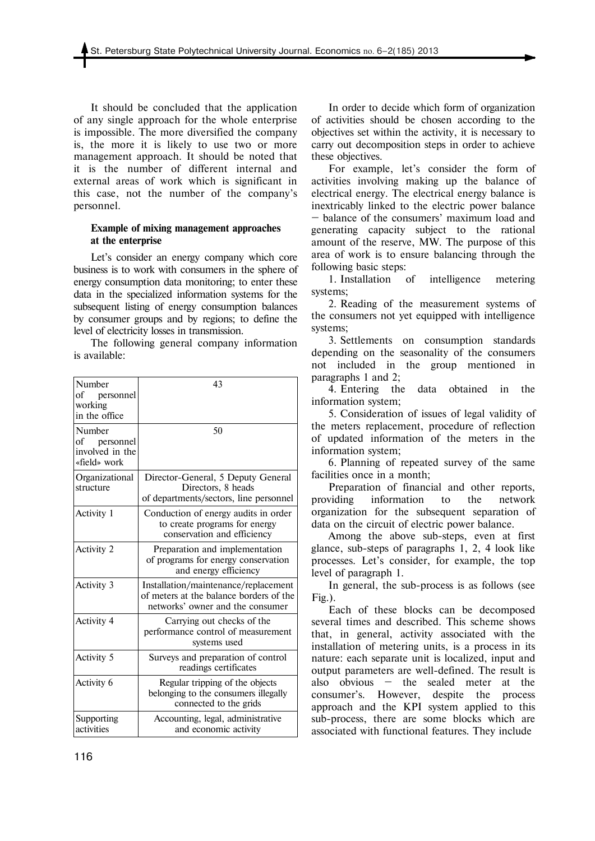It should be concluded that the application of any single approach for the whole enterprise is impossible. The more diversified the company is, the more it is likely to use two or more management approach. It should be noted that it is the number of different internal and external areas of work which is significant in this case, not the number of the company's personnel.

## **Example of mixing management approaches at the enterprise**

Let's consider an energy company which core business is to work with consumers in the sphere of energy consumption data monitoring; to enter these data in the specialized information systems for the subsequent listing of energy consumption balances by consumer groups and by regions; to define the level of electricity losses in transmission.

The following general company information is available:

| Number<br>of<br>personnel<br>working<br>in the office        | 43                                                                                                                  |
|--------------------------------------------------------------|---------------------------------------------------------------------------------------------------------------------|
| Number<br>of<br>personnel<br>involved in the<br>«field» work | 50                                                                                                                  |
| Organizational<br>structure                                  | Director-General, 5 Deputy General<br>Directors, 8 heads<br>of departments/sectors, line personnel                  |
| Activity 1                                                   | Conduction of energy audits in order<br>to create programs for energy<br>conservation and efficiency                |
| Activity 2                                                   | Preparation and implementation<br>of programs for energy conservation<br>and energy efficiency                      |
| Activity 3                                                   | Installation/maintenance/replacement<br>of meters at the balance borders of the<br>networks' owner and the consumer |
| <b>Activity 4</b>                                            | Carrying out checks of the<br>performance control of measurement<br>systems used                                    |
| Activity 5                                                   | Surveys and preparation of control<br>readings certificates                                                         |
| Activity 6                                                   | Regular tripping of the objects<br>belonging to the consumers illegally<br>connected to the grids                   |
| Supporting<br>activities                                     | Accounting, legal, administrative<br>and economic activity                                                          |

In order to decide which form of organization of activities should be chosen according to the objectives set within the activity, it is necessary to carry out decomposition steps in order to achieve these objectives.

For example, let's consider the form of activities involving making up the balance of electrical energy. The electrical energy balance is inextricably linked to the electric power balance — balance of the consumers' maximum load and generating capacity subject to the rational amount of the reserve, MW. The purpose of this area of work is to ensure balancing through the following basic steps:

1. Installation of intelligence metering systems;

2. Reading of the measurement systems of the consumers not yet equipped with intelligence systems;

3. Settlements on consumption standards depending on the seasonality of the consumers not included in the group mentioned in paragraphs 1 and 2;

4. Entering the data obtained in the information system;

5. Consideration of issues of legal validity of the meters replacement, procedure of reflection of updated information of the meters in the information system;

6. Planning of repeated survey of the same facilities once in a month;

Preparation of financial and other reports, providing information to the network organization for the subsequent separation of data on the circuit of electric power balance.

Among the above sub-steps, even at first glance, sub-steps of paragraphs 1, 2, 4 look like processes. Let's consider, for example, the top level of paragraph 1.

In general, the sub-process is as follows (see Fig.).

Each of these blocks can be decomposed several times and described. This scheme shows that, in general, activity associated with the installation of metering units, is a process in its nature: each separate unit is localized, input and output parameters are well-defined. The result is also obvious — the sealed meter at the consumer's. However, despite the process approach and the KPI system applied to this sub-process, there are some blocks which are associated with functional features. They include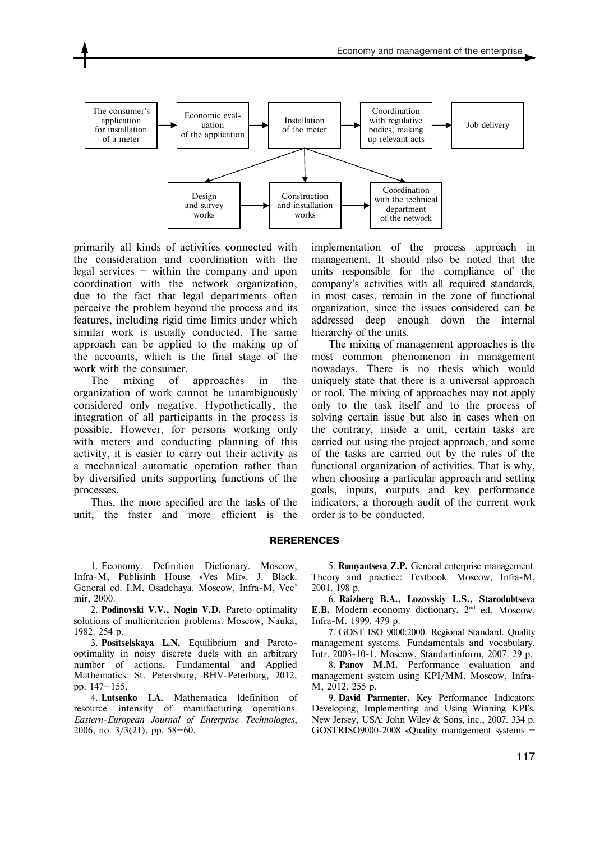

primarily all kinds of activities connected with the consideration and coordination with the legal services  $-$  within the company and upon coordination with the network organization, due to the fact that legal departments often perceive the problem beyond the process and its features, including rigid time limits under which similar work is usually conducted. The same approach can be applied to the making up of the accounts, which is the final stage of the work with the consumer.

The mixing of approaches in the organization of work cannot be unambiguously considered only negative. Hypothetically, the integration of all participants in the process is possible. However, for persons working only with meters and conducting planning of this activity, it is easier to carry out their activity as a mechanical automatic operation rather than by diversified units supporting functions of the processes.

Thus, the more specified are the tasks of the unit, the faster and more efficient is the implementation of the process approach in management. It should also be noted that the units responsible for the compliance of the company's activities with all required standards, in most cases, remain in the zone of functional organization, since the issues considered can be addressed deep enough down the internal hierarchy of the units.

The mixing of management approaches is the most common phenomenon in management nowadays. There is no thesis which would uniquely state that there is a universal approach or tool. The mixing of approaches may not apply only to the task itself and to the process of solving certain issue but also in cases when on the contrary, inside a unit, certain tasks are carried out using the project approach, and some of the tasks are carried out by the rules of the functional organization of activities. That is why, when choosing a particular approach and setting goals, inputs, outputs and key performance indicators, a thorough audit of the current work order is to be conducted.

#### **RERERENCES**

1. Economy. Definition Dictionary. Moscow, Infra-M, Publisinh House «Ves Mir». J. Black. General ed. I.M. Osadchaya. Moscow, Infra-M, Vec' mir, 2000.

2. **Podinovski V.V., Nogin V.D.** Pareto optimality solutions of multicriterion problems. Мoscow, Nauka, 1982. 254 p.

3. **Positselskaya L.N.** Equilibrium and Paretooptimality in noisy discrete duels with an arbitrary number of actions, Fundamental and Applied Mathematics. St. Petersburg, BHV-Peterburg, 2012, pp. 147—155.

4. **Lutsenko I.A.** Mathematica ldefinition of resource intensity of manufacturing operations. *Eastern-European Journal of Enterprise Technologies*, 2006, no. 3/3(21), pp. 58—60.

5. **Rumyantseva Z.P.** General enterprise management. Theory and practice: Textbook. Мoscow, Infra-M, 2001. 198 p.

6. **Raizberg B.A., Lozovskiy L.S., Starodubtseva**  E.B. Modern economy dictionary. 2<sup>nd</sup> ed. Moscow, Infra-M. 1999. 479 p.

7. GOST ISO 9000:2000. Regional Standard. Quality management systems. Fundamentals and vocabulary. Intr. 2003-10-1. Мoscow, Standartinform, 2007. 29 p.

8. **Panov M.M.** Performance evaluation and management system using KPI/МM. Мoscow, Infra-M, 2012. 255 p.

9. **David Parmenter.** Key Performance Indicators: Developing, Implementing and Using Winning KPI's. New Jersey, USA: John Wiley & Sons, inc., 2007. 334 p. GOSTRISO9000-2008 «Quality management systems —